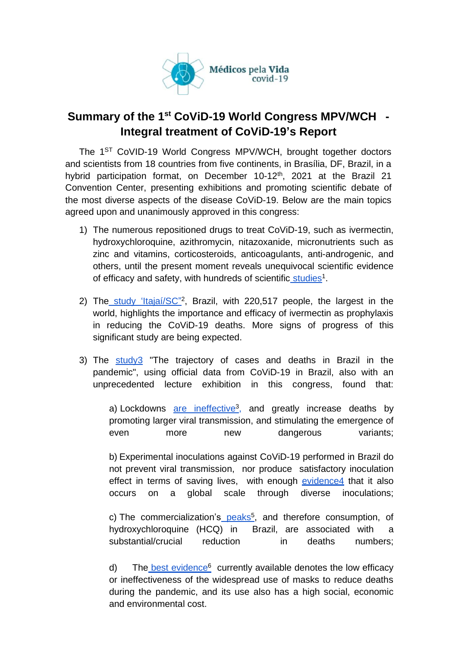

## **Summary of the 1 st CoViD-19 World Congress MPV/WCH - Integral treatment of CoViD-19's Report**

The 1<sup>ST</sup> CoVID-19 World Congress MPV/WCH, brought together doctors and scientists from 18 countries from five continents, in Brasília, DF, Brazil, in a hybrid participation format, on December 10-12<sup>th</sup>, 2021 at the Brazil 21 Convention Center, presenting exhibitions and promoting scientific debate of the most diverse aspects of the disease CoViD-19. Below are the main topics agreed upon and unanimously approved in this congress:

- 1) The numerous repositioned drugs to treat CoViD-19, such as ivermectin, hydroxychloroquine, azithromycin, nitazoxanide, micronutrients such as zinc and vitamins, corticosteroids, anticoagulants, anti-androgenic, and others, until the present moment reveals unequivocal scientific evidence of efficacy and safety, with hundreds of scientific [studies](https://c19early.com/)<sup>1</sup>.
- 2) The [study 'Itajaí/SC"](https://www.researchgate.net/publication/356962821_Ivermectin_prophylaxis_used_for_COVID-19_reduces_COVID-19_infection_and_mortality_rates_A_220517-subject_populational-level_retrospective_citywide)<sup>2</sup>, Brazil, with 220,517 people, the largest in the world, highlights the importance and efficacy of ivermectin as prophylaxis in reducing the CoViD-19 deaths. More signs of progress of this significant study are being expected.
- 3) The study3 "The trajectory of cases and deaths in Brazil in the pandemic", using official data from CoViD-19 in Brazil, also with an unprecedented lecture exhibition in this congress, found that:

a) Lockdowns [are ineffective](https://www.medrxiv.org/content/10.1101/2020.07.22.20160341v3)<sup>3</sup>, and greatly increase deaths by promoting larger viral transmission, and stimulating the emergence of even more new dangerous variants;

b) Experimental inoculations against CoViD-19 performed in Brazil do not prevent viral transmission, nor produce satisfactory inoculation effect in terms of saving lives, [with](https://www.ncbi.nlm.nih.gov/labs/pmc/articles/PMC8481107/) enough evidence4 that it also occurs on a global scale through diverse inoculations;

c) The commercialization's [p](https://dados.gov.br/dataset/venda-de-medicamentos-controlados-e-antimicrobianos-medicamentos-industrializados)eaks<sup>5</sup>, and therefore consumption, of hydroxychloroquine (HCQ) in Brazil, are associated with a substantial/crucial reduction in deaths numbers:

d) The [best evidence](https://brownstone.org/articles/the-mask-distraction/)<sup>6</sup> currently available denotes the low efficacy or ineffectiveness of the widespread use of masks to reduce deaths during the pandemic, and its use also has a high social, economic and environmental cost.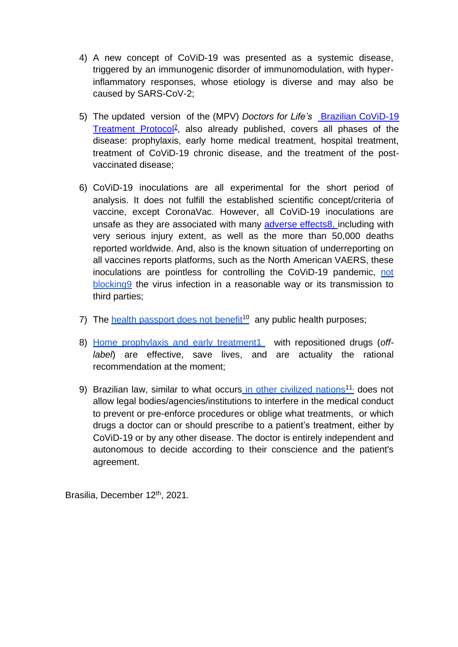- 4) A new concept of CoViD-19 was presented as a systemic disease, triggered by an immunogenic disorder of immunomodulation, with hyperinflammatory responses, whose etiology is diverse and may also be caused by SARS-CoV-2;
- 5) The updated version of the (MPV) *Doctors for Life's* [Brazilian CoViD-19](https://filiperafaeli.substack.com/p/ivermectina-estudo-feito-no-sus-demonstra)  [Treatment Protocol](https://filiperafaeli.substack.com/p/ivermectina-estudo-feito-no-sus-demonstra)<sup>z</sup>, also already published, covers all phases of the disease: prophylaxis, early home medical treatment, hospital treatment, treatment of CoViD-19 chronic disease, and the treatment of the postvaccinated disease;
- 6) CoViD-19 inoculations are all experimental for the short period of analysis. It does not fulfill the established scientific concept/criteria of vaccine, except CoronaVac. However, all CoViD-19 inoculations are unsafe as they are associated with many adverse effects8, including with very serious injury extent, as well as the more than 50,000 deaths reported worldwide. And, also is the known situation of underreporting on all vaccines reports platforms, such as the North American VAERS, these inoculations are pointless for controlling the CoViD-19 pandemic, not blocking9 the virus infection in a reasonable way or its transmission to third parties;
- 7) The health passport does not benefit<sup>10</sup> any public health purposes;
- 8) Home [prophylaxis and](https://ivmmeta.com/) early treatment1 with repositioned drugs (*offlabel*) are effective, save lives, and are actuality the rational recommendation at the moment;
- 9) Brazilian law, similar to what occurs [in other civilized nations](https://medicospelavidacovid19.com.br/documentos/direito-constitucional-a-vida-e-o-ato-medico/)<sup>11,</sup> does not allow legal bodies/agencies/institutions to interfere in the medical conduct to prevent or pre-enforce procedures or oblige what treatments, or which drugs a doctor can or should prescribe to a patient's treatment, either by CoViD-19 or by any other disease. The doctor is entirely independent and autonomous to decide according to their conscience and the patient's agreement.

Brasilia, December 12<sup>th</sup>, 2021.